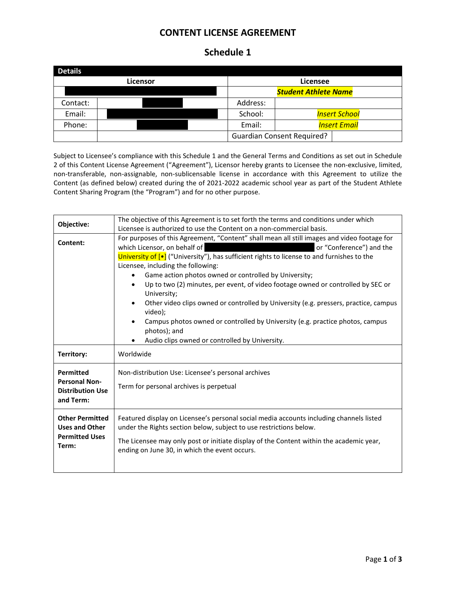## **CONTENT LICENSE AGREEMENT**

## **Schedule 1**

| <b>Details</b> |  |                 |                                   |  |  |
|----------------|--|-----------------|-----------------------------------|--|--|
| Licensor       |  | <b>Licensee</b> |                                   |  |  |
|                |  |                 | <b>Student Athlete Name</b>       |  |  |
| Contact:       |  | Address:        |                                   |  |  |
| Email:         |  | School:         | <b>Insert School</b>              |  |  |
| Phone:         |  | Email:          | <b>Insert Email</b>               |  |  |
|                |  |                 | <b>Guardian Consent Required?</b> |  |  |

Subject to Licensee's compliance with this Schedule 1 and the General Terms and Conditions as set out in Schedule 2 of this Content License Agreement ("Agreement"), Licensor hereby grants to Licensee the non-exclusive, limited, non-transferable, non-assignable, non-sublicensable license in accordance with this Agreement to utilize the Content (as defined below) created during the of 2021-2022 academic school year as part of the Student Athlete Content Sharing Program (the "Program") and for no other purpose.

| Objective:                                                                        | The objective of this Agreement is to set forth the terms and conditions under which<br>Licensee is authorized to use the Content on a non-commercial basis.                                                                                                                                                                                                                                                                                                                                     |  |
|-----------------------------------------------------------------------------------|--------------------------------------------------------------------------------------------------------------------------------------------------------------------------------------------------------------------------------------------------------------------------------------------------------------------------------------------------------------------------------------------------------------------------------------------------------------------------------------------------|--|
| Content:                                                                          | For purposes of this Agreement, "Content" shall mean all still images and video footage for<br>which Licensor, on behalf of<br>or "Conference") and the                                                                                                                                                                                                                                                                                                                                          |  |
|                                                                                   | University of [•] ("University"), has sufficient rights to license to and furnishes to the<br>Licensee, including the following:<br>Game action photos owned or controlled by University;<br>Up to two (2) minutes, per event, of video footage owned or controlled by SEC or<br>University;<br>Other video clips owned or controlled by University (e.g. pressers, practice, campus<br>video);<br>Campus photos owned or controlled by University (e.g. practice photos, campus<br>photos); and |  |
| Territory:                                                                        | Audio clips owned or controlled by University.<br>Worldwide                                                                                                                                                                                                                                                                                                                                                                                                                                      |  |
| <b>Permitted</b><br><b>Personal Non-</b><br><b>Distribution Use</b><br>and Term:  | Non-distribution Use: Licensee's personal archives<br>Term for personal archives is perpetual                                                                                                                                                                                                                                                                                                                                                                                                    |  |
| <b>Other Permitted</b><br><b>Uses and Other</b><br><b>Permitted Uses</b><br>Term: | Featured display on Licensee's personal social media accounts including channels listed<br>under the Rights section below, subject to use restrictions below.<br>The Licensee may only post or initiate display of the Content within the academic year,<br>ending on June 30, in which the event occurs.                                                                                                                                                                                        |  |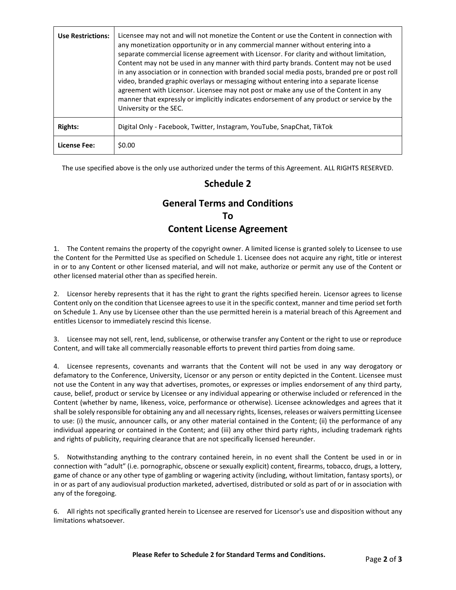| <b>Use Restrictions:</b> | Licensee may not and will not monetize the Content or use the Content in connection with<br>any monetization opportunity or in any commercial manner without entering into a<br>separate commercial license agreement with Licensor. For clarity and without limitation,<br>Content may not be used in any manner with third party brands. Content may not be used<br>in any association or in connection with branded social media posts, branded pre or post roll<br>video, branded graphic overlays or messaging without entering into a separate license<br>agreement with Licensor. Licensee may not post or make any use of the Content in any<br>manner that expressly or implicitly indicates endorsement of any product or service by the<br>University or the SEC. |
|--------------------------|------------------------------------------------------------------------------------------------------------------------------------------------------------------------------------------------------------------------------------------------------------------------------------------------------------------------------------------------------------------------------------------------------------------------------------------------------------------------------------------------------------------------------------------------------------------------------------------------------------------------------------------------------------------------------------------------------------------------------------------------------------------------------|
| <b>Rights:</b>           | Digital Only - Facebook, Twitter, Instagram, YouTube, SnapChat, TikTok                                                                                                                                                                                                                                                                                                                                                                                                                                                                                                                                                                                                                                                                                                       |
| License Fee:             | \$0.00                                                                                                                                                                                                                                                                                                                                                                                                                                                                                                                                                                                                                                                                                                                                                                       |

The use specified above is the only use authorized under the terms of this Agreement. ALL RIGHTS RESERVED.

## **Schedule 2**

## **General Terms and Conditions To Content License Agreement**

1. The Content remains the property of the copyright owner. A limited license is granted solely to Licensee to use the Content for the Permitted Use as specified on Schedule 1. Licensee does not acquire any right, title or interest in or to any Content or other licensed material, and will not make, authorize or permit any use of the Content or other licensed material other than as specified herein.

2. Licensor hereby represents that it has the right to grant the rights specified herein. Licensor agrees to license Content only on the condition that Licensee agrees to use it in the specific context, manner and time period set forth on Schedule 1. Any use by Licensee other than the use permitted herein is a material breach of this Agreement and entitles Licensor to immediately rescind this license.

3. Licensee may not sell, rent, lend, sublicense, or otherwise transfer any Content or the right to use or reproduce Content, and will take all commercially reasonable efforts to prevent third parties from doing same.

4. Licensee represents, covenants and warrants that the Content will not be used in any way derogatory or defamatory to the Conference, University, Licensor or any person or entity depicted in the Content. Licensee must not use the Content in any way that advertises, promotes, or expresses or implies endorsement of any third party, cause, belief, product or service by Licensee or any individual appearing or otherwise included or referenced in the Content (whether by name, likeness, voice, performance or otherwise). Licensee acknowledges and agrees that it shall be solely responsible for obtaining any and all necessary rights, licenses, releases or waivers permitting Licensee to use: (i) the music, announcer calls, or any other material contained in the Content; (ii) the performance of any individual appearing or contained in the Content; and (iii) any other third party rights, including trademark rights and rights of publicity, requiring clearance that are not specifically licensed hereunder.

5. Notwithstanding anything to the contrary contained herein, in no event shall the Content be used in or in connection with "adult" (i.e. pornographic, obscene or sexually explicit) content, firearms, tobacco, drugs, a lottery, game of chance or any other type of gambling or wagering activity (including, without limitation, fantasy sports), or in or as part of any audiovisual production marketed, advertised, distributed or sold as part of or in association with any of the foregoing.

6. All rights not specifically granted herein to Licensee are reserved for Licensor's use and disposition without any limitations whatsoever.